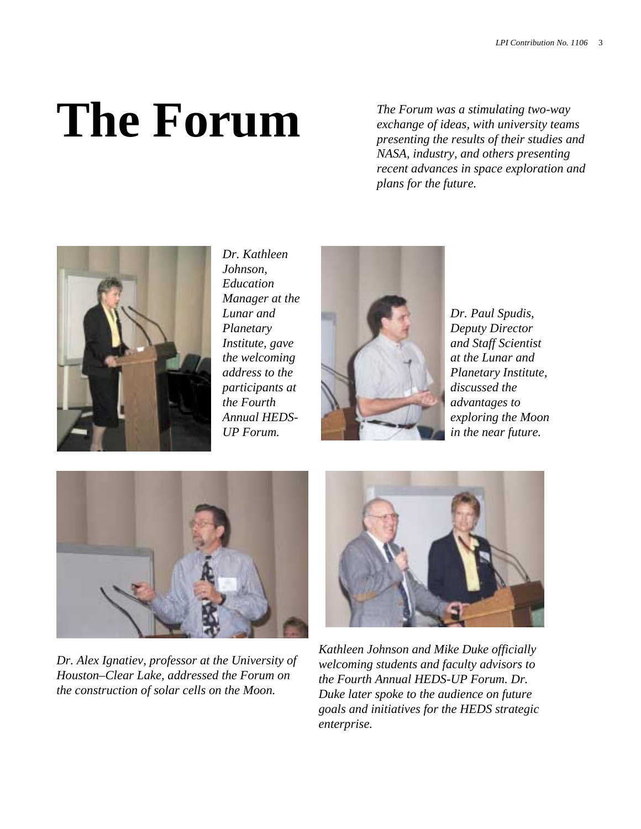# **The Forum**

*The Forum was a stimulating two-way exchange of ideas, with university teams presenting the results of their studies and NASA, industry, and others presenting recent advances in space exploration and plans for the future.*



*Dr. Kathleen Johnson, Education Manager at the Lunar and Planetary Institute, gave the welcoming address to the participants at the Fourth Annual HEDS-UP Forum.* 



*Dr. Paul Spudis, Deputy Director and Staff Scientist at the Lunar and Planetary Institute, discussed the advantages to exploring the Moon in the near future.* 



*Dr. Alex Ignatiev, professor at the University of Houston–Clear Lake, addressed the Forum on the construction of solar cells on the Moon.* 



*Kathleen Johnson and Mike Duke officially welcoming students and faculty advisors to the Fourth Annual HEDS-UP Forum. Dr. Duke later spoke to the audience on future goals and initiatives for the HEDS strategic enterprise.*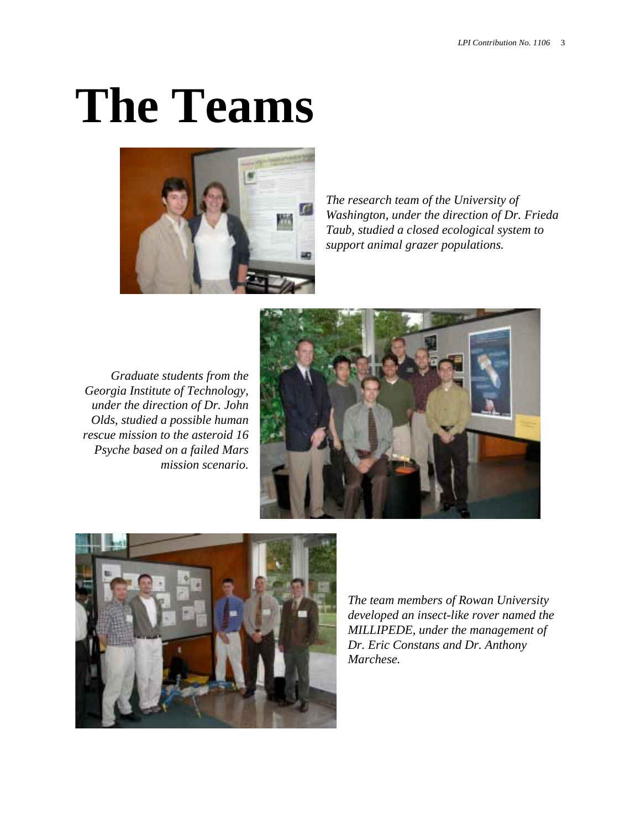# **The Teams**



*The research team of the University of Washington, under the direction of Dr. Frieda Taub, studied a closed ecological system to support animal grazer populations.* 

*Graduate students from the Georgia Institute of Technology, under the direction of Dr. John Olds, studied a possible human rescue mission to the asteroid 16 Psyche based on a failed Mars mission scenario.* 





*The team members of Rowan University developed an insect-like rover named the MILLIPEDE, under the management of Dr. Eric Constans and Dr. Anthony Marchese.*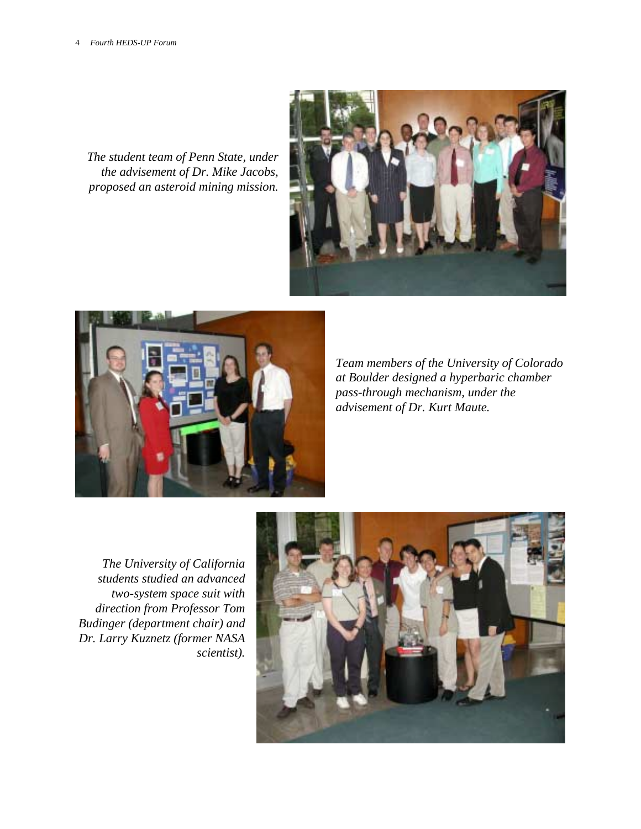*The student team of Penn State, under the advisement of Dr. Mike Jacobs, proposed an asteroid mining mission.* 





*Team members of the University of Colorado at Boulder designed a hyperbaric chamber pass-through mechanism, under the advisement of Dr. Kurt Maute.* 

*The University of California students studied an advanced two-system space suit with direction from Professor Tom Budinger (department chair) and Dr. Larry Kuznetz (former NASA scientist).* 

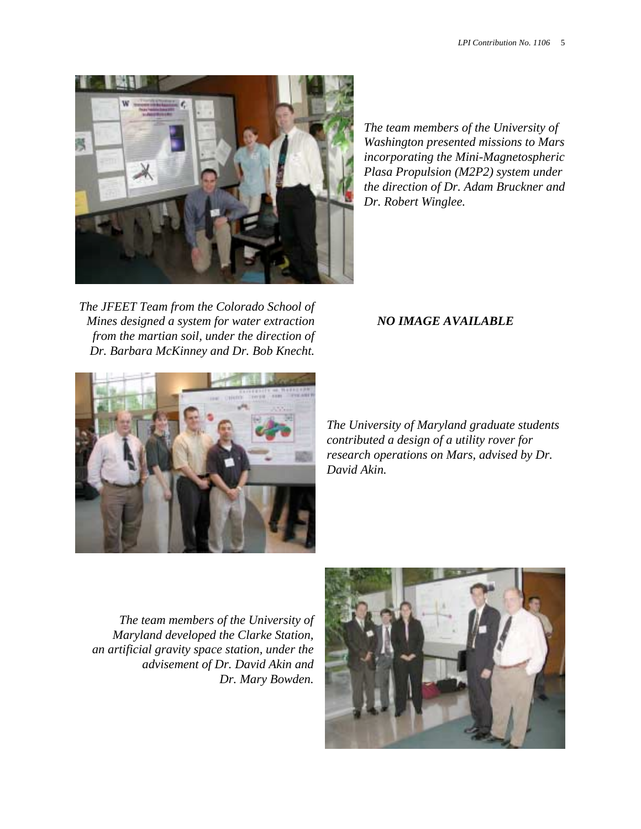

*The team members of the University of Washington presented missions to Mars incorporating the Mini-Magnetospheric Plasa Propulsion (M2P2) system under the direction of Dr. Adam Bruckner and Dr. Robert Winglee.* 

*The JFEET Team from the Colorado School of Mines designed a system for water extraction from the martian soil, under the direction of Dr. Barbara McKinney and Dr. Bob Knecht.* 

#### *NO IMAGE AVAILABLE*



*The University of Maryland graduate students contributed a design of a utility rover for research operations on Mars, advised by Dr. David Akin.* 

*The team members of the University of Maryland developed the Clarke Station, an artificial gravity space station, under the advisement of Dr. David Akin and Dr. Mary Bowden.* 

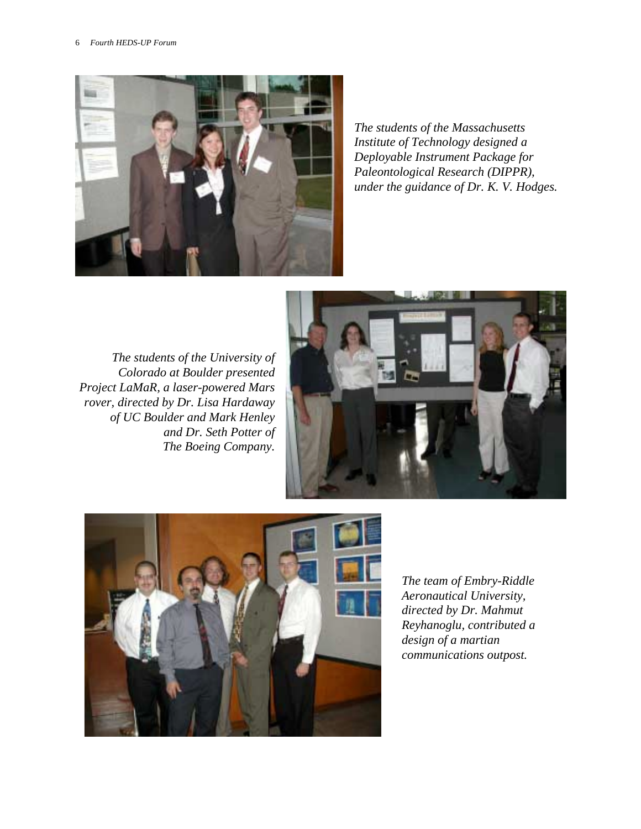

*The students of the Massachusetts Institute of Technology designed a Deployable Instrument Package for Paleontological Research (DIPPR), under the guidance of Dr. K. V. Hodges.* 

*The students of the University of Colorado at Boulder presented Project LaMaR, a laser-powered Mars rover, directed by Dr. Lisa Hardaway of UC Boulder and Mark Henley and Dr. Seth Potter of The Boeing Company.* 





*The team of Embry-Riddle Aeronautical University, directed by Dr. Mahmut Reyhanoglu, contributed a design of a martian communications outpost.*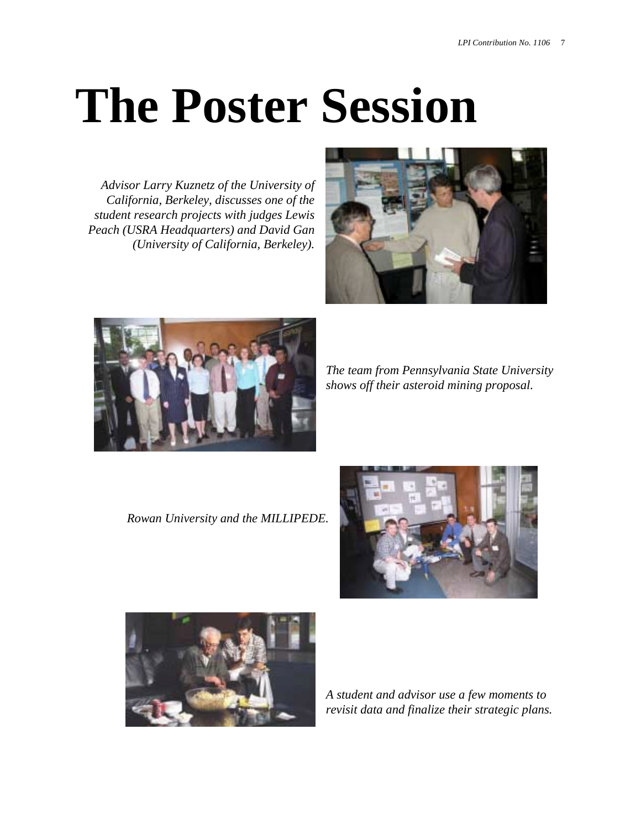# **The Poster Session**

*Advisor Larry Kuznetz of the University of California, Berkeley, discusses one of the student research projects with judges Lewis Peach (USRA Headquarters) and David Gan (University of California, Berkeley).* 





*The team from Pennsylvania State University shows off their asteroid mining proposal.* 

*Rowan University and the MILLIPEDE.* 





*A student and advisor use a few moments to revisit data and finalize their strategic plans.*